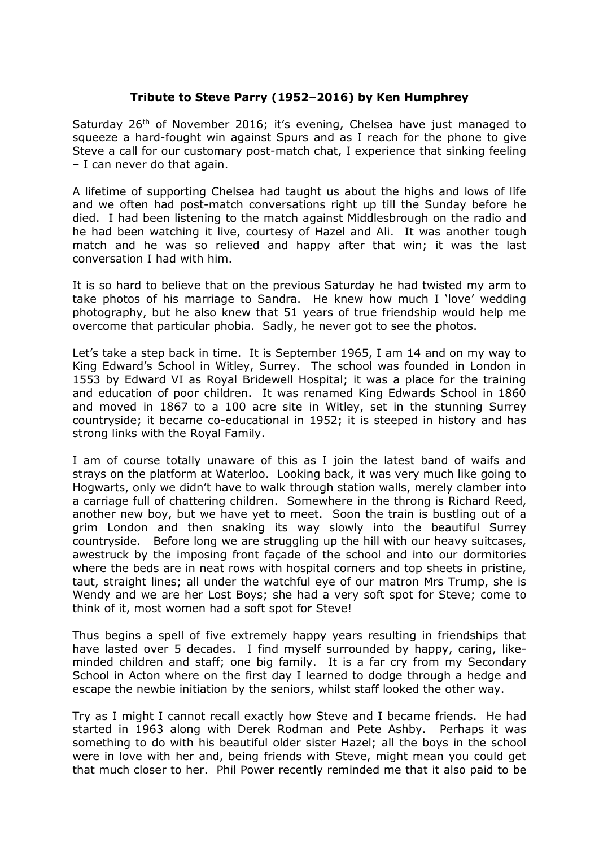## **Tribute to Steve Parry (1952–2016) by Ken Humphrey**

Saturday 26<sup>th</sup> of November 2016; it's evening, Chelsea have just managed to squeeze a hard-fought win against Spurs and as I reach for the phone to give Steve a call for our customary post-match chat, I experience that sinking feeling – I can never do that again.

A lifetime of supporting Chelsea had taught us about the highs and lows of life and we often had post-match conversations right up till the Sunday before he died. I had been listening to the match against Middlesbrough on the radio and he had been watching it live, courtesy of Hazel and Ali. It was another tough match and he was so relieved and happy after that win; it was the last conversation I had with him.

It is so hard to believe that on the previous Saturday he had twisted my arm to take photos of his marriage to Sandra. He knew how much I 'love' wedding photography, but he also knew that 51 years of true friendship would help me overcome that particular phobia. Sadly, he never got to see the photos.

Let's take a step back in time. It is September 1965, I am 14 and on my way to King Edward's School in Witley, Surrey. The school was founded in London in 1553 by Edward VI as Royal Bridewell Hospital; it was a place for the training and education of poor children. It was renamed King Edwards School in 1860 and moved in 1867 to a 100 acre site in Witley, set in the stunning Surrey countryside; it became co-educational in 1952; it is steeped in history and has strong links with the Royal Family.

I am of course totally unaware of this as I join the latest band of waifs and strays on the platform at Waterloo. Looking back, it was very much like going to Hogwarts, only we didn't have to walk through station walls, merely clamber into a carriage full of chattering children. Somewhere in the throng is Richard Reed, another new boy, but we have yet to meet. Soon the train is bustling out of a grim London and then snaking its way slowly into the beautiful Surrey countryside. Before long we are struggling up the hill with our heavy suitcases, awestruck by the imposing front façade of the school and into our dormitories where the beds are in neat rows with hospital corners and top sheets in pristine, taut, straight lines; all under the watchful eye of our matron Mrs Trump, she is Wendy and we are her Lost Boys; she had a very soft spot for Steve; come to think of it, most women had a soft spot for Steve!

Thus begins a spell of five extremely happy years resulting in friendships that have lasted over 5 decades. I find myself surrounded by happy, caring, likeminded children and staff; one big family. It is a far cry from my Secondary School in Acton where on the first day I learned to dodge through a hedge and escape the newbie initiation by the seniors, whilst staff looked the other way.

Try as I might I cannot recall exactly how Steve and I became friends. He had started in 1963 along with Derek Rodman and Pete Ashby. Perhaps it was something to do with his beautiful older sister Hazel; all the boys in the school were in love with her and, being friends with Steve, might mean you could get that much closer to her. Phil Power recently reminded me that it also paid to be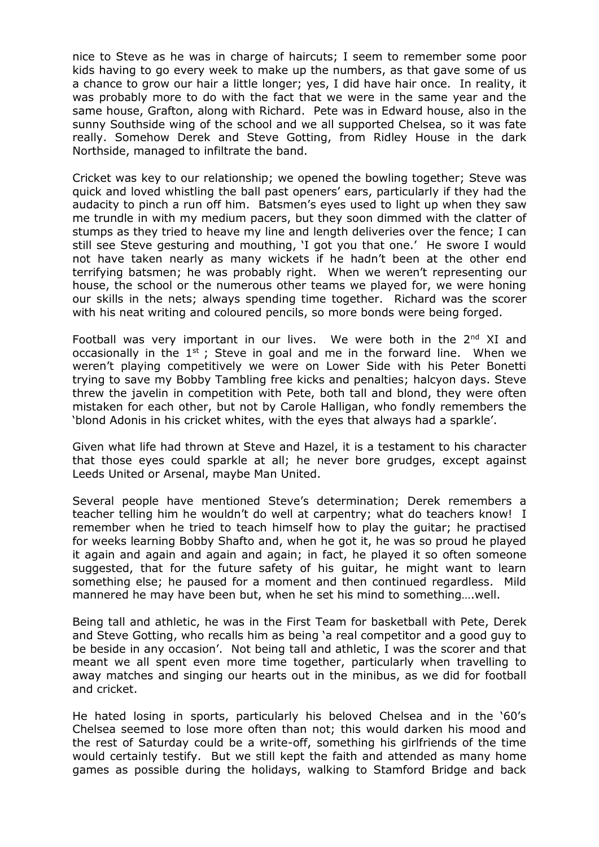nice to Steve as he was in charge of haircuts; I seem to remember some poor kids having to go every week to make up the numbers, as that gave some of us a chance to grow our hair a little longer; yes, I did have hair once.In reality, it was probably more to do with the fact that we were in the same year and the same house, Grafton, along with Richard. Pete was in Edward house, also in the sunny Southside wing of the school and we all supported Chelsea, so it was fate really. Somehow Derek and Steve Gotting, from Ridley House in the dark Northside, managed to infiltrate the band.

Cricket was key to our relationship; we opened the bowling together; Steve was quick and loved whistling the ball past openers' ears, particularly if they had the audacity to pinch a run off him. Batsmen's eyes used to light up when they saw me trundle in with my medium pacers, but they soon dimmed with the clatter of stumps as they tried to heave my line and length deliveries over the fence; I can still see Steve gesturing and mouthing, 'I got you that one.' He swore I would not have taken nearly as many wickets if he hadn't been at the other end terrifying batsmen; he was probably right. When we weren't representing our house, the school or the numerous other teams we played for, we were honing our skills in the nets; always spending time together. Richard was the scorer with his neat writing and coloured pencils, so more bonds were being forged.

Football was very important in our lives. We were both in the  $2^{nd}$  XI and occasionally in the  $1^{st}$ ; Steve in goal and me in the forward line. When we weren't playing competitively we were on Lower Side with his Peter Bonetti trying to save my Bobby Tambling free kicks and penalties; halcyon days. Steve threw the javelin in competition with Pete, both tall and blond, they were often mistaken for each other, but not by Carole Halligan, who fondly remembers the 'blond Adonis in his cricket whites, with the eyes that always had a sparkle'.

Given what life had thrown at Steve and Hazel, it is a testament to his character that those eyes could sparkle at all; he never bore grudges, except against Leeds United or Arsenal, maybe Man United.

Several people have mentioned Steve's determination; Derek remembers a teacher telling him he wouldn't do well at carpentry; what do teachers know! I remember when he tried to teach himself how to play the guitar; he practised for weeks learning Bobby Shafto and, when he got it, he was so proud he played it again and again and again and again; in fact, he played it so often someone suggested, that for the future safety of his guitar, he might want to learn something else; he paused for a moment and then continued regardless. Mild mannered he may have been but, when he set his mind to something….well.

Being tall and athletic, he was in the First Team for basketball with Pete, Derek and Steve Gotting, who recalls him as being 'a real competitor and a good guy to be beside in any occasion'. Not being tall and athletic, I was the scorer and that meant we all spent even more time together, particularly when travelling to away matches and singing our hearts out in the minibus, as we did for football and cricket.

He hated losing in sports, particularly his beloved Chelsea and in the '60's Chelsea seemed to lose more often than not; this would darken his mood and the rest of Saturday could be a write-off, something his girlfriends of the time would certainly testify. But we still kept the faith and attended as many home games as possible during the holidays, walking to Stamford Bridge and back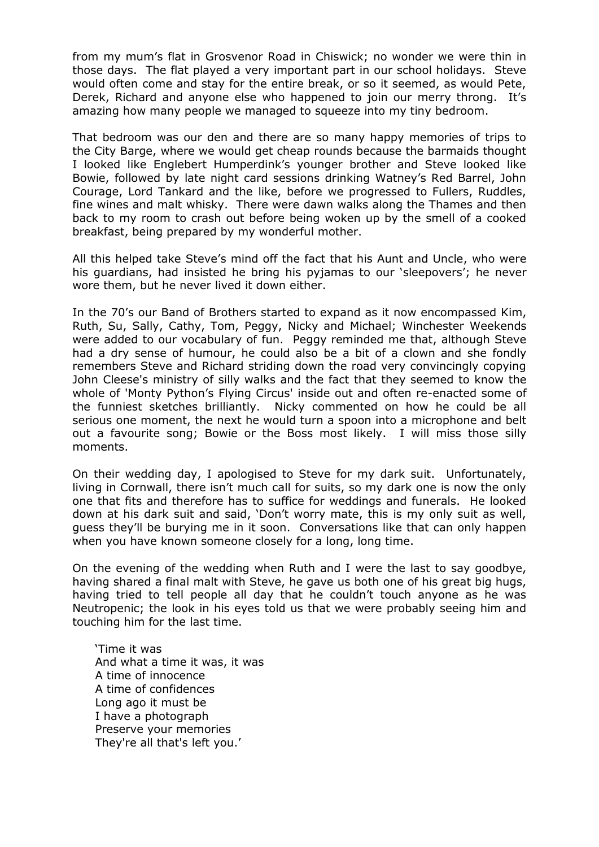from my mum's flat in Grosvenor Road in Chiswick; no wonder we were thin in those days. The flat played a very important part in our school holidays. Steve would often come and stay for the entire break, or so it seemed, as would Pete, Derek, Richard and anyone else who happened to join our merry throng. It's amazing how many people we managed to squeeze into my tiny bedroom.

That bedroom was our den and there are so many happy memories of trips to the City Barge, where we would get cheap rounds because the barmaids thought I looked like Englebert Humperdink's younger brother and Steve looked like Bowie, followed by late night card sessions drinking Watney's Red Barrel, John Courage, Lord Tankard and the like, before we progressed to Fullers, Ruddles, fine wines and malt whisky. There were dawn walks along the Thames and then back to my room to crash out before being woken up by the smell of a cooked breakfast, being prepared by my wonderful mother.

All this helped take Steve's mind off the fact that his Aunt and Uncle, who were his guardians, had insisted he bring his pyjamas to our 'sleepovers'; he never wore them, but he never lived it down either.

In the 70's our Band of Brothers started to expand as it now encompassed Kim, Ruth, Su, Sally, Cathy, Tom, Peggy, Nicky and Michael; Winchester Weekends were added to our vocabulary of fun. Peggy reminded me that, although Steve had a dry sense of humour, he could also be a bit of a clown and she fondly remembers Steve and Richard striding down the road very convincingly copying John Cleese's ministry of silly walks and the fact that they seemed to know the whole of 'Monty Python's Flying Circus' inside out and often re-enacted some of the funniest sketches brilliantly. Nicky commented on how he could be all serious one moment, the next he would turn a spoon into a microphone and belt out a favourite song; Bowie or the Boss most likely. I will miss those silly moments.

On their wedding day, I apologised to Steve for my dark suit. Unfortunately, living in Cornwall, there isn't much call for suits, so my dark one is now the only one that fits and therefore has to suffice for weddings and funerals. He looked down at his dark suit and said, 'Don't worry mate, this is my only suit as well, guess they'll be burying me in it soon. Conversations like that can only happen when you have known someone closely for a long, long time.

On the evening of the wedding when Ruth and I were the last to say goodbye, having shared a final malt with Steve, he gave us both one of his great big hugs, having tried to tell people all day that he couldn't touch anyone as he was Neutropenic; the look in his eyes told us that we were probably seeing him and touching him for the last time.

'Time it was And what a time it was, it was A time of innocence A time of confidences Long ago it must be I have a photograph Preserve your memories They're all that's left you.'